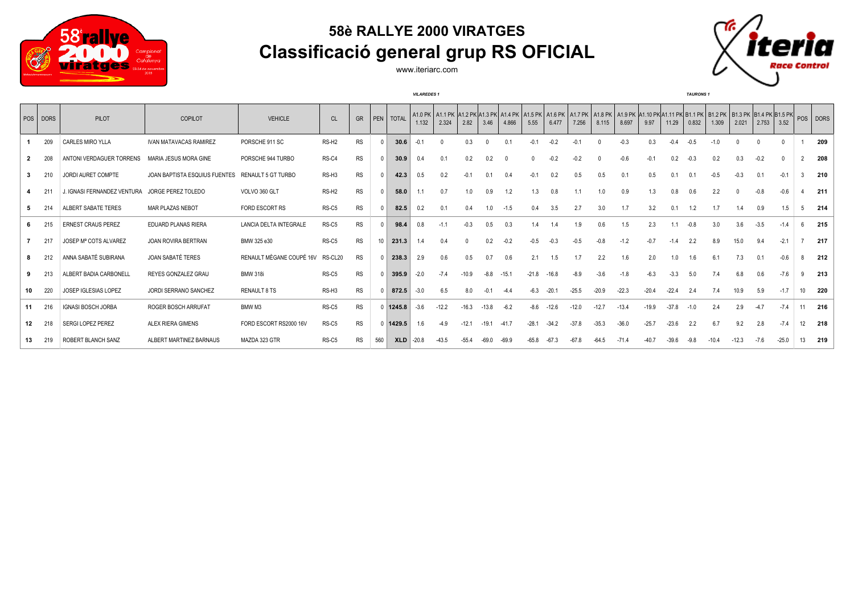

## **58è RALLYE 2000 VIRATGES Classificació general grup RS OFICIAL**



www.iteriarc.com

|    | <b>VILAREDES 1</b> |                             |                               |                          |                   |           |     |            |         |         |         |          |         |         |         | <b>TAURONS 1</b> |         |         |         |         |        |         |          |                                                                                                                                                                                   |          |                  |          |
|----|--------------------|-----------------------------|-------------------------------|--------------------------|-------------------|-----------|-----|------------|---------|---------|---------|----------|---------|---------|---------|------------------|---------|---------|---------|---------|--------|---------|----------|-----------------------------------------------------------------------------------------------------------------------------------------------------------------------------------|----------|------------------|----------|
|    | POS DORS           | <b>PILOT</b>                | COPILOT                       | <b>VEHICLE</b>           | CL                | GR        |     | PEN TOTAL  | 1.132   | 2.324   | 2.82    | 3.46     | 4.866   | 5.55    | 6.477   | 7.256            | 8.115   | 8.697   | 9.97    | 11.29   | 0.832  | 1.309   | 2.021    | A1.0 PK   A1.1 PK  A1.2 PK A1.3 PK  A1.4 PK   A1.5 PK   A1.6 PK   A1.7 PK   A1.8 PK   A1.9 PK  A1.10 PK A1.11 PK B1.1 PK   B1.2 PK   B1.2 PK  B1.4 PK  B1.4 PK B1.5 PK <br> 2.753 | 3.52     |                  | POS DORS |
|    | 209                | CARLES MIRO YLLA            | <b>IVAN MATAVACAS RAMIREZ</b> | PORSCHE 911 SC           | RS-H <sub>2</sub> | <b>RS</b> |     | 30.6       | $-0.1$  |         | 0.3     | $\Omega$ | 0.1     | $-0.1$  | $-0.2$  | $-0.1$           |         | $-0.3$  | 0.3     | $-0.4$  | $-0.5$ | $-1.0$  | $\Omega$ |                                                                                                                                                                                   | $\Omega$ |                  | 209      |
|    | 208                | ANTONI VERDAGUER TORRENS    | MARIA JESUS MORA GINE         | PORSCHE 944 TURBO        | RS-C4             | <b>RS</b> |     | 30.9       | 0.4     | 0.1     | 0.2     | 0.2      | 0       |         | $-0.2$  | $-0.2$           |         | $-0.6$  | $-0.1$  | 0.2     | $-0.3$ | 0.2     | 0.3      | $-0.2$                                                                                                                                                                            | $\Omega$ | $\mathbf{2}$     | 208      |
| 3  | 210                | JORDI AURET COMPTE          | JOAN BAPTISTA ESQUIUS FUENTES | RENAULT 5 GT TURBO       | RS-H3             | <b>RS</b> |     | 42.3       | 0.5     | 0.2     | $-0.1$  | 0.1      | 0.4     | $-0.1$  | 0.2     | 0.5              | 0.5     | 0.1     | 0.5     | 0.1     | 0.1    | $-0.5$  | $-0.3$   | 0.1                                                                                                                                                                               | $-0.1$   | 3                | 210      |
|    | 21                 | J. IGNASI FERNANDEZ VENTURA | JORGE PEREZ TOLEDO            | VOLVO 360 GLT            | RS-H <sub>2</sub> | <b>RS</b> |     | 58.0       |         | 0.7     | 1.0     | 0.9      | 1.2     | 1.3     | 0.8     |                  | 1.0     | 0.9     | 1.3     | 0.8     | 0.6    | 2.2     |          | $-0.8$                                                                                                                                                                            | $-0.6$   |                  | 211      |
|    |                    | ALBERT SABATE TERES         | MAR PLAZAS NEBOT              | FORD ESCORT RS           | RS-C5             | RS        |     | 82.5       | 0.2     | 0.1     | 0.4     | 1.0      | $-1.5$  | 0.4     | 3.5     | 2.7              | 3.0     | 1.7     | 3.2     | 0.1     | 1.2    |         | 1.4      | 0.9                                                                                                                                                                               | 1.5      | 5                | 214      |
| 6. | 215                | <b>ERNEST CRAUS PEREZ</b>   | EDUARD PLANAS RIERA           | LANCIA DELTA INTEGRALE   | RS-C5             | <b>RS</b> |     | 98.4       | 0.8     | $-1.1$  | $-0.3$  | 0.5      | 0.3     |         | 1.4     | 1.9              | 0.6     | 1.5     | 2.3     | 1.1     | $-0.8$ | 3.0     | 3.6      | $-3.5$                                                                                                                                                                            | $-1.4$   | 6                | 215      |
|    | 217                | JOSEP Mª COTS ALVAREZ       | <b>JOAN ROVIRA BERTRAN</b>    | BMW 325 e30              | RS-C5             | <b>RS</b> | 10  | 231.3      | 1.4     | 0.4     |         | 0.2      | $-0.2$  | $-0.5$  | $-0.3$  | $-0.5$           | $-0.8$  | $-1.2$  | $-0.7$  | $-1.4$  | 2.2    | 8.9     | 15.0     | 9.4                                                                                                                                                                               | $-2.1$   |                  | 217      |
| 8  | 212                | ANNA SABATÉ SUBIRANA        | <b>JOAN SABATÉ TERES</b>      | RENAULT MÈGANE COUPÉ 16V | RS-CL20           | RS        |     | 238.3      | 2.9     | 0.6     | 0.5     | 0.7      | 0.6     | 2.1     | 1.5     | 1.7              | 2.2     | 1.6     | 2.0     | 1.0     | 1.6    | 6.1     | 7.3      | 0.1                                                                                                                                                                               | $-0.6$   | 8                | 212      |
|    | 213                | ALBERT BADIA CARBONELL      | REYES GONZALEZ GRAU           | <b>BMW 318i</b>          | RS-C5             | <b>RS</b> |     | 395.9      | $-2.0$  | $-7.4$  | $-10.9$ | $-8.8$   | $-15.1$ | $-21.8$ | $-16.8$ | $-8.9$           | $-3.6$  | $-1.8$  | $-6.3$  | $-3.3$  | 5.0    | 7.4     | 6.8      | 0.6                                                                                                                                                                               | $-7.6$   | 9                | 213      |
| 10 | 220                | JOSEP IGLESIAS LOPEZ        | JORDI SERRANO SANCHEZ         | <b>RENAULT 8 TS</b>      | RS-H3             | RS        |     | 872.5      | $-3.0$  | 6.5     | 8.0     | $-0.1$   | $-4.4$  | -6.3    | $-20.1$ | $-25.5$          | $-20.9$ | $-22.3$ | $-20.4$ | $-22.4$ | 2.4    | 7.4     | 10.9     | 5.9                                                                                                                                                                               | $-1.7$   | 10 <sup>10</sup> | 220      |
| 11 | 216                | <b>IGNASI BOSCH JORBA</b>   | ROGER BOSCH ARRUFAT           | BMW M3                   | RS-C5             | <b>RS</b> |     | 0 1245.8   | $-3.6$  | $-12.2$ | $-16.3$ | $-13.8$  | $-6.2$  | -8.6    | $-12.6$ | $-12.0$          | $-12.7$ | $-13.4$ | $-19.9$ | $-37.8$ | $-1.0$ | 2.4     | 2.9      | $-4.7$                                                                                                                                                                            | $-7.4$   | 11               | 216      |
| 12 | 218                | <b>SERGI LOPEZ PEREZ</b>    | <b>ALEX RIERA GIMENS</b>      | FORD ESCORT RS2000 16V   | RS-C5             | RS        |     | 0 1429.5   | 1.6     | $-4.9$  | $-12.1$ | $-19.1$  | $-41.7$ | $-28.1$ | $-34.2$ | $-37.8$          | $-35.3$ | $-36.0$ | $-25.7$ | $-23.6$ | 2.2    | 6.7     | 9.2      | 2.8                                                                                                                                                                               | $-7.4$   | 12               | 218      |
| 13 | 219                | ROBERT BLANCH SANZ          | ALBERT MARTINEZ BARNAUS       | MAZDA 323 GTR            | RS-C5             | <b>RS</b> | 560 | <b>XLD</b> | $-20.8$ | $-43.5$ | $-55.4$ | $-69.0$  | $-69.9$ | $-65.8$ | $-67.3$ | $-67.8$          | $-64.5$ | $-71.4$ | $-40.7$ | $-39.6$ | $-9.8$ | $-10.4$ | $-12.3$  | $-7.6$                                                                                                                                                                            | $-25.0$  | 13               | 219      |
|    |                    |                             |                               |                          |                   |           |     |            |         |         |         |          |         |         |         |                  |         |         |         |         |        |         |          |                                                                                                                                                                                   |          |                  |          |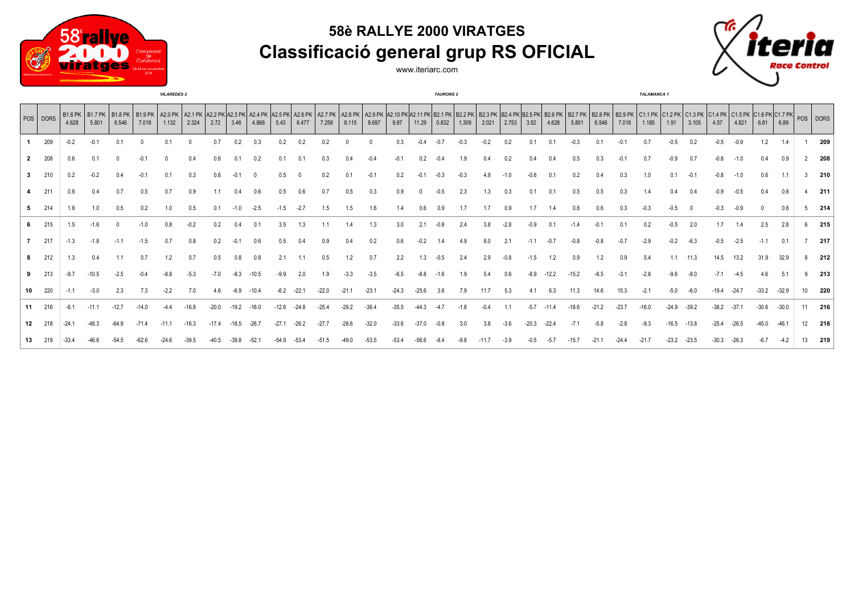



www.iteriarc.com



|                  | <b>VILAREDES 2</b> |         |                                                                                                                                                                                                                                         |         |         |       |       |         |         |       |         |       |         |         | <b>TAURONS 2</b> |         |         |       |       |       |       |                |       |         | TALAMANCA 1 |         |                |         |         |         |         |         |         |    |     |
|------------------|--------------------|---------|-----------------------------------------------------------------------------------------------------------------------------------------------------------------------------------------------------------------------------------------|---------|---------|-------|-------|---------|---------|-------|---------|-------|---------|---------|------------------|---------|---------|-------|-------|-------|-------|----------------|-------|---------|-------------|---------|----------------|---------|---------|---------|---------|---------|---------|----|-----|
|                  | $ pos $ DORS       | 4.628   | B1.6 PK B1.7 PK B1.8 PK B1.9 PK B1.9 PK A2.0 PK A2.1 PK A2.2 PK A2.3 PK A2.4 PK A2.5 PK A2.6 PK A2.6 PK A2.7 PK A2.8 PK A2.8 PK A2.8 PK A2.8 PK A2.8 PK A2.8 PK A2.4 PK A2.4 PK A2.5 PK A2.4 PK A2.4 PK A2.4 PK A2.4 PK A2.4 P<br>5.801 | 6.546   | 7.018   | 1.132 | 2.324 | 2.72    | 3.46    | 4.866 | 5.43    | 6.477 | 7.256   | 8.115   | 8.697            | 9.97    | 11.29   | 0.832 | 1.309 | 2.021 | 2.753 | 3.52           | 4.628 | 5.801   | 6.546       | 7.018   | 1.185          | 1.91    | 3.105   | 4.57    | 4.821   | 6.81    | 6.89    |    |     |
|                  | 209                | $-0.2$  | $-0.1$                                                                                                                                                                                                                                  |         |         |       |       | 07      | 0.2     |       | 0.2     |       |         |         |                  | 0.3     |         |       |       |       | 0.2   | 0 <sub>1</sub> |       |         | 0.1         |         | 0 <sub>7</sub> |         |         | $-0.5$  | $-0.9$  | 1.2     |         |    | 209 |
|                  | 208                |         |                                                                                                                                                                                                                                         |         |         |       |       |         |         |       |         |       |         |         |                  |         |         |       |       |       |       |                |       |         |             |         |                |         |         |         |         |         | 0.9     |    | 208 |
| 3                | 210                |         |                                                                                                                                                                                                                                         |         |         |       |       |         |         |       |         |       |         |         |                  |         |         |       |       |       |       |                |       |         |             |         |                |         |         |         |         | 0.6     |         |    | 210 |
|                  | 211                |         |                                                                                                                                                                                                                                         |         |         |       |       |         |         |       |         |       |         |         |                  |         |         |       |       |       |       |                |       |         |             |         |                |         |         |         |         |         |         |    | 211 |
|                  | 214                | 1.8     |                                                                                                                                                                                                                                         |         |         |       |       |         |         |       |         |       |         |         |                  |         |         |       |       |       |       |                |       |         |             |         |                |         |         |         |         |         |         |    | 214 |
|                  | 215                | 1.5     | $-1.6$                                                                                                                                                                                                                                  |         | $-1.0$  |       |       |         |         |       |         |       |         |         | 1.3              | 3.0     | 2.1     |       |       |       |       |                |       |         |             |         | 0.2            |         | 2.0     | 1.7     |         | 2.5     | 2.8     |    | 215 |
|                  | 217                | $-1.3$  | $-1.8$                                                                                                                                                                                                                                  |         | $-1.5$  |       |       |         |         |       |         |       |         |         | 0.2              | 0.6     |         |       |       |       |       |                |       |         |             |         | -2.9           |         |         |         | $-2.5$  | $-1.1$  | 0.1     |    | 217 |
|                  | 212                |         |                                                                                                                                                                                                                                         |         |         |       |       |         |         |       |         |       |         | 1.2     | 0.7              |         | 13      |       |       |       |       |                |       |         | 1.2         | 0.9     | 5.4            | 11      | 11.3    | 14.5    | 13.2    | 31.9    | 32.9    |    | 212 |
|                  | 213                | $-9.7$  |                                                                                                                                                                                                                                         |         |         |       |       |         |         |       |         |       |         |         |                  |         |         |       |       |       |       |                |       |         |             |         |                |         |         |         |         |         |         |    | 213 |
| 10               | 220                |         |                                                                                                                                                                                                                                         |         |         |       |       |         |         |       |         |       |         |         | $-23.$           | $-24.3$ | $-25.6$ |       |       |       |       |                | 6.3   | 11.3    | 14.6        |         | $-2.1$         |         |         |         |         | $-33.2$ | $-32.9$ | 10 | 220 |
| 11               | 216                | $-8.1$  |                                                                                                                                                                                                                                         | $-12.7$ |         |       |       | $-20.0$ | $-19.2$ |       | $-12.6$ |       | $-25.4$ | $-29.2$ | $-36.4$          | 35.5    |         |       |       |       |       | $-5.7$         |       | $-18.6$ | $-21.2$     | $-23.7$ | $-16.0$        | $-24.9$ | $-39.2$ | $-38.2$ | $-37.1$ | $-30.6$ | $-30.0$ | 11 | 216 |
| 12 <sup>12</sup> | 218                | $-24.7$ |                                                                                                                                                                                                                                         |         | $-71.4$ |       |       |         |         |       |         |       |         |         | $-32.0$          |         |         |       |       |       |       |                |       |         |             |         |                |         |         |         |         | $-45.0$ | $-46.1$ | 12 | 218 |
|                  |                    |         |                                                                                                                                                                                                                                         |         |         |       |       |         |         |       |         |       |         |         |                  |         |         |       |       |       |       |                |       |         |             |         |                |         |         |         |         |         |         |    | 219 |